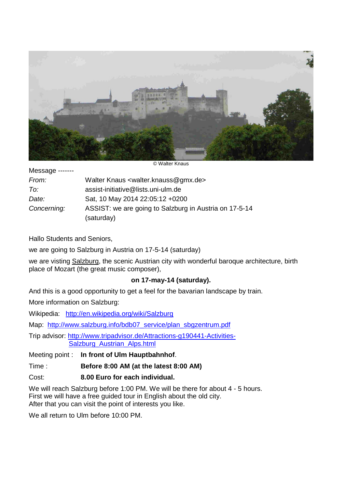

© Walter Knaus

| Message ------- |  |
|-----------------|--|
|-----------------|--|

| From:       | Walter Knaus <walter.knauss@gmx.de></walter.knauss@gmx.de> |
|-------------|------------------------------------------------------------|
| To:         | assist-initiative@lists.uni-ulm.de                         |
| Date:       | Sat, 10 May 2014 22:05:12 +0200                            |
| Concerning: | ASSIST: we are going to Salzburg in Austria on 17-5-14     |
|             | (saturday)                                                 |

Hallo Students and Seniors,

we are going to Salzburg in Austria on 17-5-14 (saturday)

we are visting Salzburg, the scenic Austrian city with wonderful baroque architecture, birth place of Mozart (the great music composer),

## **on 17-may-14 (saturday).**

And this is a good opportunity to get a feel for the bavarian landscape by train.

More information on Salzburg:

Wikipedia: http://en.wikipedia.org/wiki/Salzburg

Map: http://www.salzburg.info/bdb07\_service/plan\_sbgzentrum.pdf

Trip advisor: http://www.tripadvisor.de/Attractions-g190441-Activities-Salzburg\_Austrian\_Alps.html

Meeting point : **In front of Ulm Hauptbahnhof**.

Time : **Before 8:00 AM (at the latest 8:00 AM)**

Cost: **8.00 Euro for each individual.**

We will reach Salzburg before 1:00 PM. We will be there for about 4 - 5 hours. First we will have a free guided tour in English about the old city. After that you can visit the point of interests you like.

We all return to Ulm before 10:00 PM.